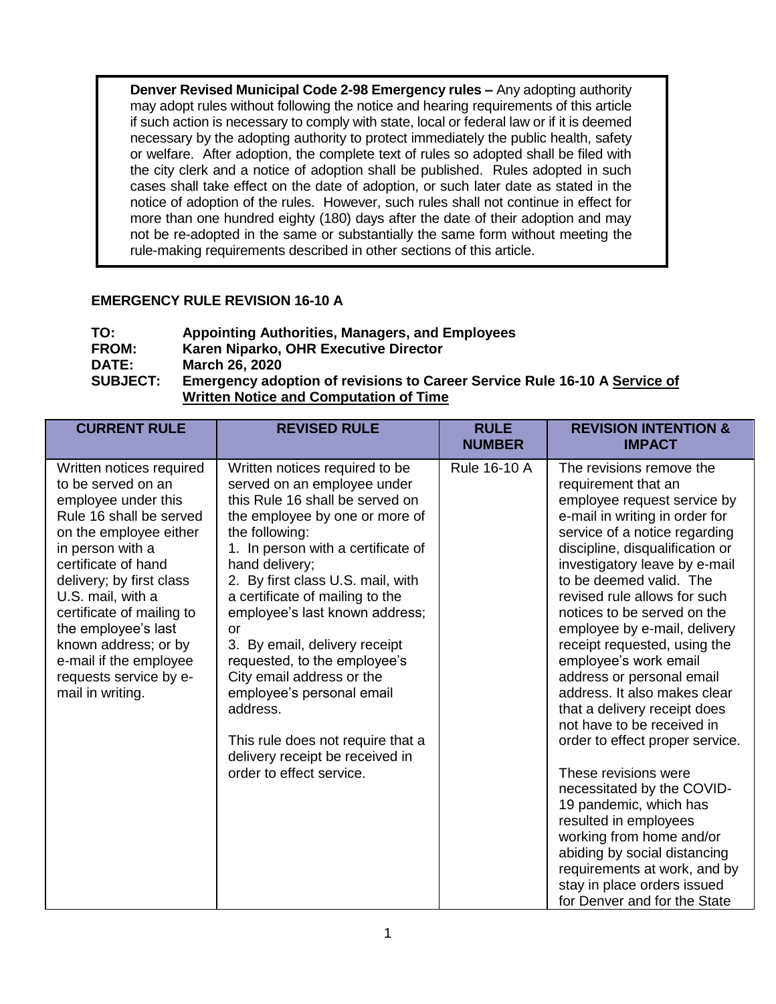**Denver Revised Municipal Code 2-98 Emergency rules –** Any adopting authority may adopt rules without following the notice and hearing requirements of this article if such action is necessary to comply with state, local or federal law or if it is deemed necessary by the adopting authority to protect immediately the public health, safety or welfare. After adoption, the complete text of rules so adopted shall be filed with the city clerk and a notice of adoption shall be published. Rules adopted in such cases shall take effect on the date of adoption, or such later date as stated in the notice of adoption of the rules. However, such rules shall not continue in effect for more than one hundred eighty (180) days after the date of their adoption and may not be re-adopted in the same or substantially the same form without meeting the rule-making requirements described in other sections of this article.

## **EMERGENCY RULE REVISION 16-10 A**

| TO:             | <b>Appointing Authorities, Managers, and Employees</b>                           |
|-----------------|----------------------------------------------------------------------------------|
| <b>FROM:</b>    | Karen Niparko, OHR Executive Director                                            |
| <b>DATE:</b>    | <b>March 26, 2020</b>                                                            |
| <b>SUBJECT:</b> | <b>Emergency adoption of revisions to Career Service Rule 16-10 A Service of</b> |
|                 | <b>Written Notice and Computation of Time</b>                                    |

| <b>CURRENT RULE</b>                                                                                                                                                                                                                                                                                                                                                        | <b>REVISED RULE</b>                                                                                                                                                                                                                                                                                                                                                                                                                                                                                                                                                     | <b>RULE</b><br><b>NUMBER</b> | <b>REVISION INTENTION &amp;</b><br><b>IMPACT</b>                                                                                                                                                                                                                                                                                                                                                                                                                                                                                                                                                                                                                                                                                                                                                                                           |
|----------------------------------------------------------------------------------------------------------------------------------------------------------------------------------------------------------------------------------------------------------------------------------------------------------------------------------------------------------------------------|-------------------------------------------------------------------------------------------------------------------------------------------------------------------------------------------------------------------------------------------------------------------------------------------------------------------------------------------------------------------------------------------------------------------------------------------------------------------------------------------------------------------------------------------------------------------------|------------------------------|--------------------------------------------------------------------------------------------------------------------------------------------------------------------------------------------------------------------------------------------------------------------------------------------------------------------------------------------------------------------------------------------------------------------------------------------------------------------------------------------------------------------------------------------------------------------------------------------------------------------------------------------------------------------------------------------------------------------------------------------------------------------------------------------------------------------------------------------|
| Written notices required<br>to be served on an<br>employee under this<br>Rule 16 shall be served<br>on the employee either<br>in person with a<br>certificate of hand<br>delivery; by first class<br>U.S. mail, with a<br>certificate of mailing to<br>the employee's last<br>known address; or by<br>e-mail if the employee<br>requests service by e-<br>mail in writing. | Written notices required to be<br>served on an employee under<br>this Rule 16 shall be served on<br>the employee by one or more of<br>the following:<br>1. In person with a certificate of<br>hand delivery;<br>2. By first class U.S. mail, with<br>a certificate of mailing to the<br>employee's last known address;<br>or<br>3. By email, delivery receipt<br>requested, to the employee's<br>City email address or the<br>employee's personal email<br>address.<br>This rule does not require that a<br>delivery receipt be received in<br>order to effect service. | Rule 16-10 A                 | The revisions remove the<br>requirement that an<br>employee request service by<br>e-mail in writing in order for<br>service of a notice regarding<br>discipline, disqualification or<br>investigatory leave by e-mail<br>to be deemed valid. The<br>revised rule allows for such<br>notices to be served on the<br>employee by e-mail, delivery<br>receipt requested, using the<br>employee's work email<br>address or personal email<br>address. It also makes clear<br>that a delivery receipt does<br>not have to be received in<br>order to effect proper service.<br>These revisions were<br>necessitated by the COVID-<br>19 pandemic, which has<br>resulted in employees<br>working from home and/or<br>abiding by social distancing<br>requirements at work, and by<br>stay in place orders issued<br>for Denver and for the State |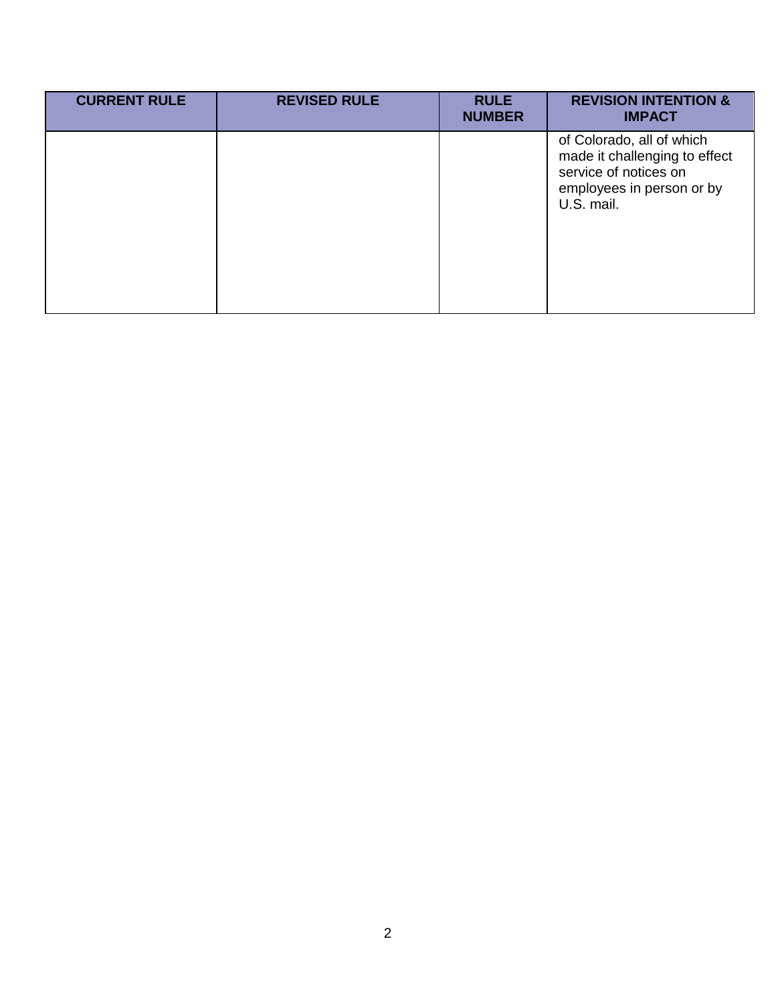| <b>CURRENT RULE</b> | <b>REVISED RULE</b> | <b>RULE</b><br><b>NUMBER</b> | <b>REVISION INTENTION &amp;</b><br><b>IMPACT</b>                                                                               |
|---------------------|---------------------|------------------------------|--------------------------------------------------------------------------------------------------------------------------------|
|                     |                     |                              | of Colorado, all of which<br>made it challenging to effect<br>service of notices on<br>employees in person or by<br>U.S. mail. |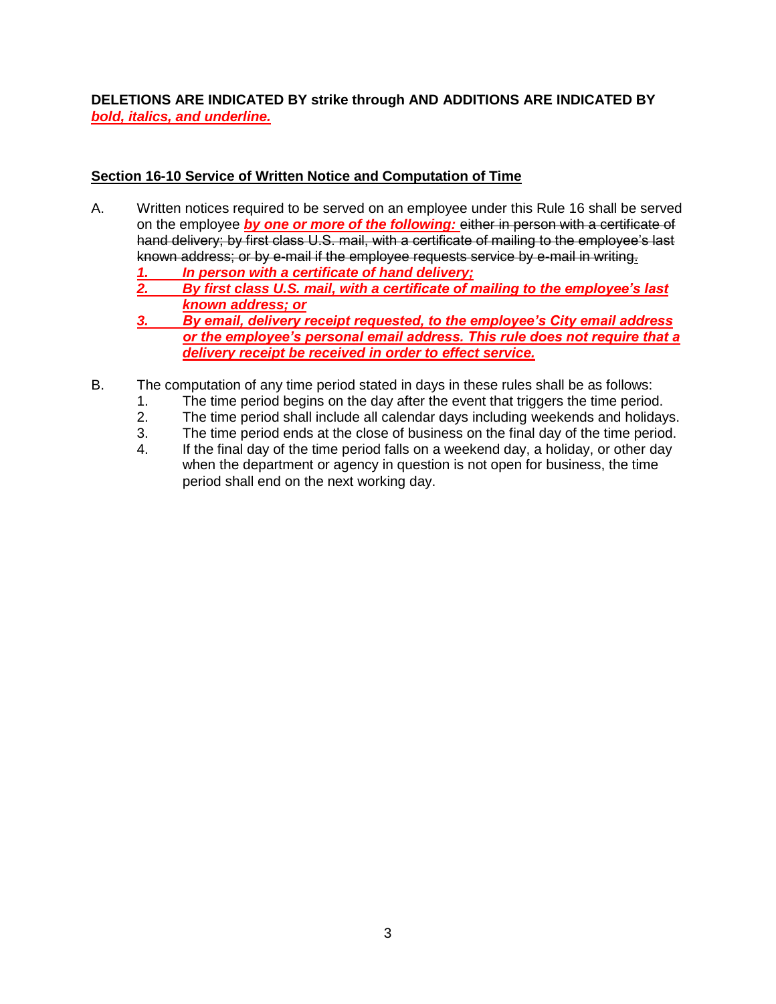**DELETIONS ARE INDICATED BY strike through AND ADDITIONS ARE INDICATED BY**  *bold, italics, and underline.*

## **Section 16-10 Service of Written Notice and Computation of Time**

- A. Written notices required to be served on an employee under this Rule 16 shall be served on the employee *by one or more of the following:* either in person with a certificate of hand delivery; by first class U.S. mail, with a certificate of mailing to the employee's last known address; or by e-mail if the employee requests service by e-mail in writing.
	- *1. In person with a certificate of hand delivery;*
	- *2. By first class U.S. mail, with a certificate of mailing to the employee's last known address; or*
	- *3. By email, delivery receipt requested, to the employee's City email address or the employee's personal email address. This rule does not require that a delivery receipt be received in order to effect service.*
- B. The computation of any time period stated in days in these rules shall be as follows:
	- 1. The time period begins on the day after the event that triggers the time period.
	- 2. The time period shall include all calendar days including weekends and holidays.
	- 3. The time period ends at the close of business on the final day of the time period.
	- 4. If the final day of the time period falls on a weekend day, a holiday, or other day when the department or agency in question is not open for business, the time period shall end on the next working day.